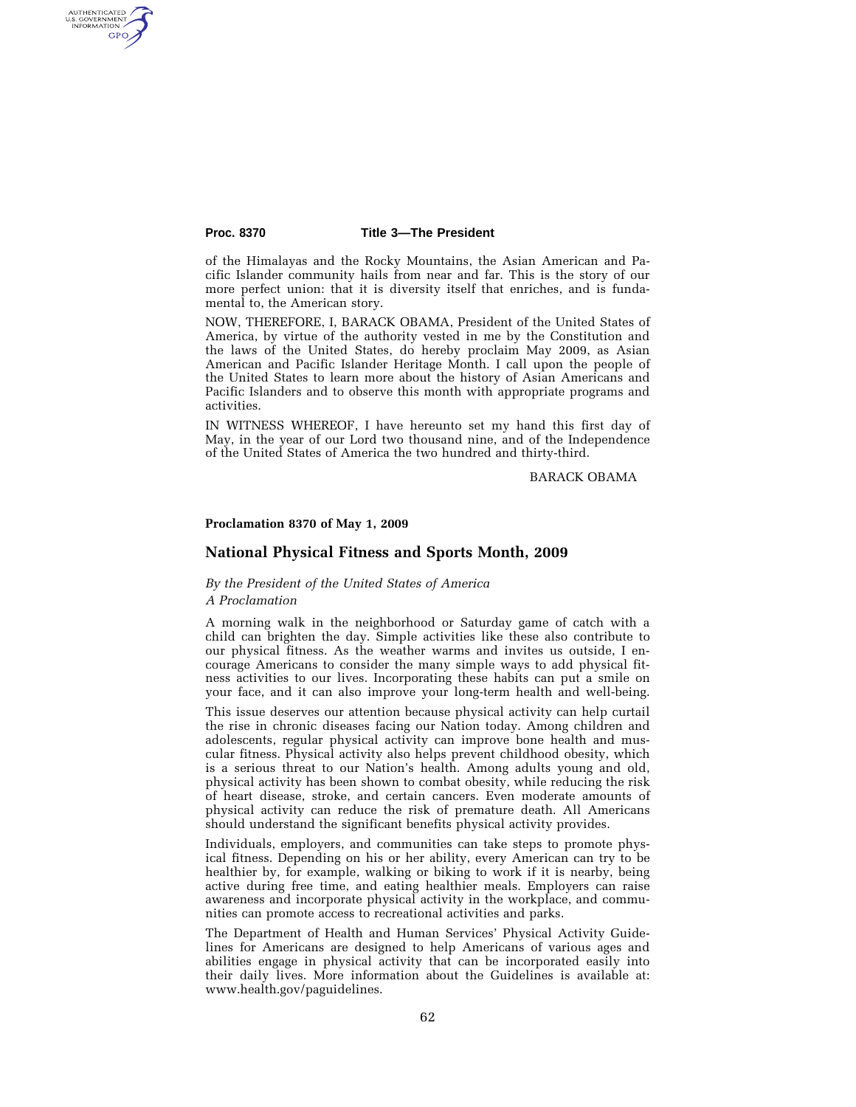AUTHENTICATED<br>U.S. GOVERNMENT<br>INFORMATION GPO

### **Proc. 8370 Title 3—The President**

of the Himalayas and the Rocky Mountains, the Asian American and Pacific Islander community hails from near and far. This is the story of our more perfect union: that it is diversity itself that enriches, and is fundamental to, the American story.

NOW, THEREFORE, I, BARACK OBAMA, President of the United States of America, by virtue of the authority vested in me by the Constitution and the laws of the United States, do hereby proclaim May 2009, as Asian American and Pacific Islander Heritage Month. I call upon the people of the United States to learn more about the history of Asian Americans and Pacific Islanders and to observe this month with appropriate programs and activities.

IN WITNESS WHEREOF, I have hereunto set my hand this first day of May, in the year of our Lord two thousand nine, and of the Independence of the United States of America the two hundred and thirty-third.

BARACK OBAMA

## **Proclamation 8370 of May 1, 2009**

# **National Physical Fitness and Sports Month, 2009**

# *By the President of the United States of America A Proclamation*

A morning walk in the neighborhood or Saturday game of catch with a child can brighten the day. Simple activities like these also contribute to our physical fitness. As the weather warms and invites us outside, I encourage Americans to consider the many simple ways to add physical fit-

your face, and it can also improve your long-term health and well-being. This issue deserves our attention because physical activity can help curtail the rise in chronic diseases facing our Nation today. Among children and adolescents, regular physical activity can improve bone health and muscular fitness. Physical activity also helps prevent childhood obesity, which is a serious threat to our Nation's health. Among adults young and old, physical activity has been shown to combat obesity, while reducing the risk of heart disease, stroke, and certain cancers. Even moderate amounts of physical activity can reduce the risk of premature death. All Americans should understand the significant benefits physical activity provides.

ness activities to our lives. Incorporating these habits can put a smile on

Individuals, employers, and communities can take steps to promote physical fitness. Depending on his or her ability, every American can try to be healthier by, for example, walking or biking to work if it is nearby, being active during free time, and eating healthier meals. Employers can raise awareness and incorporate physical activity in the workplace, and communities can promote access to recreational activities and parks.

The Department of Health and Human Services' Physical Activity Guidelines for Americans are designed to help Americans of various ages and abilities engage in physical activity that can be incorporated easily into their daily lives. More information about the Guidelines is available at: www.health.gov/paguidelines.